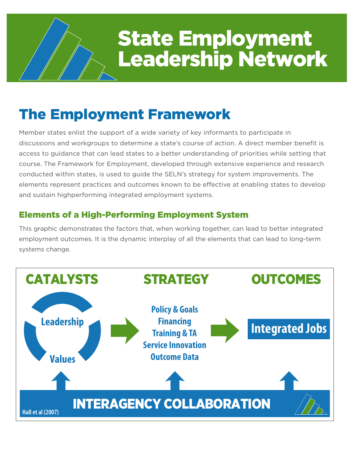# State Employment Leadership Network

## The Employment Framework

Member states enlist the support of a wide variety of key informants to participate in discussions and workgroups to determine a state's course of action. A direct member benefit is access to guidance that can lead states to a better understanding of priorities while setting that course. The Framework for Employment, developed through extensive experience and research conducted within states, is used to guide the SELN's strategy for system improvements. The elements represent practices and outcomes known to be effective at enabling states to develop and sustain highperforming integrated employment systems.

#### Elements of a High-Performing Employment System

This graphic demonstrates the factors that, when working together, can lead to better integrated employment outcomes. It is the dynamic interplay of all the elements that can lead to long-term systems change.